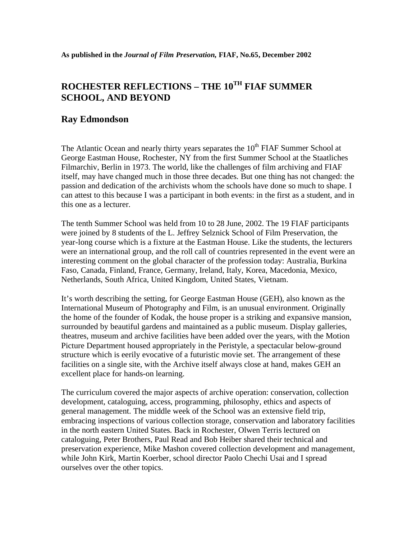## **ROCHESTER REFLECTIONS – THE 10TH FIAF SUMMER SCHOOL, AND BEYOND**

## **Ray Edmondson**

The Atlantic Ocean and nearly thirty years separates the  $10<sup>th</sup>$  FIAF Summer School at George Eastman House, Rochester, NY from the first Summer School at the Staatliches Filmarchiv, Berlin in 1973. The world, like the challenges of film archiving and FIAF itself, may have changed much in those three decades. But one thing has not changed: the passion and dedication of the archivists whom the schools have done so much to shape. I can attest to this because I was a participant in both events: in the first as a student, and in this one as a lecturer.

The tenth Summer School was held from 10 to 28 June, 2002. The 19 FIAF participants were joined by 8 students of the L. Jeffrey Selznick School of Film Preservation, the year-long course which is a fixture at the Eastman House. Like the students, the lecturers were an international group, and the roll call of countries represented in the event were an interesting comment on the global character of the profession today: Australia, Burkina Faso, Canada, Finland, France, Germany, Ireland, Italy, Korea, Macedonia, Mexico, Netherlands, South Africa, United Kingdom, United States, Vietnam.

It's worth describing the setting, for George Eastman House (GEH), also known as the International Museum of Photography and Film, is an unusual environment. Originally the home of the founder of Kodak, the house proper is a striking and expansive mansion, surrounded by beautiful gardens and maintained as a public museum. Display galleries, theatres, museum and archive facilities have been added over the years, with the Motion Picture Department housed appropriately in the Peristyle, a spectacular below-ground structure which is eerily evocative of a futuristic movie set. The arrangement of these facilities on a single site, with the Archive itself always close at hand, makes GEH an excellent place for hands-on learning.

The curriculum covered the major aspects of archive operation: conservation, collection development, cataloguing, access, programming, philosophy, ethics and aspects of general management. The middle week of the School was an extensive field trip, embracing inspections of various collection storage, conservation and laboratory facilities in the north eastern United States. Back in Rochester, Olwen Terris lectured on cataloguing, Peter Brothers, Paul Read and Bob Heiber shared their technical and preservation experience, Mike Mashon covered collection development and management, while John Kirk, Martin Koerber, school director Paolo Chechi Usai and I spread ourselves over the other topics.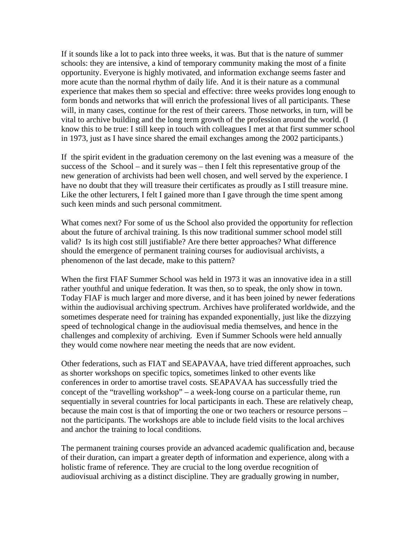If it sounds like a lot to pack into three weeks, it was. But that is the nature of summer schools: they are intensive, a kind of temporary community making the most of a finite opportunity. Everyone is highly motivated, and information exchange seems faster and more acute than the normal rhythm of daily life. And it is their nature as a communal experience that makes them so special and effective: three weeks provides long enough to form bonds and networks that will enrich the professional lives of all participants. These will, in many cases, continue for the rest of their careers. Those networks, in turn, will be vital to archive building and the long term growth of the profession around the world. (I know this to be true: I still keep in touch with colleagues I met at that first summer school in 1973, just as I have since shared the email exchanges among the 2002 participants.)

If the spirit evident in the graduation ceremony on the last evening was a measure of the success of the School – and it surely was – then I felt this representative group of the new generation of archivists had been well chosen, and well served by the experience. I have no doubt that they will treasure their certificates as proudly as I still treasure mine. Like the other lecturers, I felt I gained more than I gave through the time spent among such keen minds and such personal commitment.

What comes next? For some of us the School also provided the opportunity for reflection about the future of archival training. Is this now traditional summer school model still valid? Is its high cost still justifiable? Are there better approaches? What difference should the emergence of permanent training courses for audiovisual archivists, a phenomenon of the last decade, make to this pattern?

When the first FIAF Summer School was held in 1973 it was an innovative idea in a still rather youthful and unique federation. It was then, so to speak, the only show in town. Today FIAF is much larger and more diverse, and it has been joined by newer federations within the audiovisual archiving spectrum. Archives have proliferated worldwide, and the sometimes desperate need for training has expanded exponentially, just like the dizzying speed of technological change in the audiovisual media themselves, and hence in the challenges and complexity of archiving. Even if Summer Schools were held annually they would come nowhere near meeting the needs that are now evident.

Other federations, such as FIAT and SEAPAVAA, have tried different approaches, such as shorter workshops on specific topics, sometimes linked to other events like conferences in order to amortise travel costs. SEAPAVAA has successfully tried the concept of the "travelling workshop" – a week-long course on a particular theme, run sequentially in several countries for local participants in each. These are relatively cheap, because the main cost is that of importing the one or two teachers or resource persons – not the participants. The workshops are able to include field visits to the local archives and anchor the training to local conditions.

The permanent training courses provide an advanced academic qualification and, because of their duration, can impart a greater depth of information and experience, along with a holistic frame of reference. They are crucial to the long overdue recognition of audiovisual archiving as a distinct discipline. They are gradually growing in number,